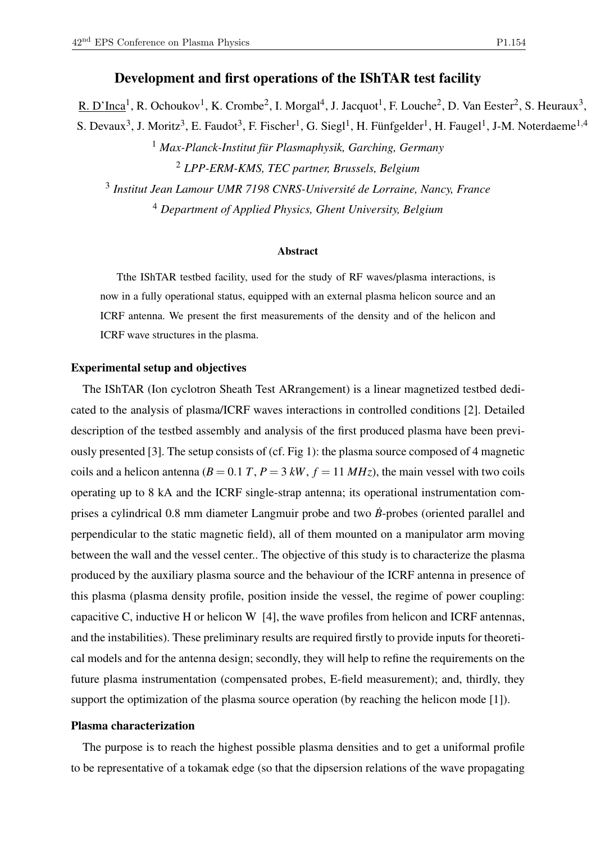# Development and first operations of the IShTAR test facility

R. D'Inca<sup>1</sup>, R. Ochoukov<sup>1</sup>, K. Crombe<sup>2</sup>, I. Morgal<sup>4</sup>, J. Jacquot<sup>1</sup>, F. Louche<sup>2</sup>, D. Van Eester<sup>2</sup>, S. Heuraux<sup>3</sup>, S. Devaux<sup>3</sup>, J. Moritz<sup>3</sup>, E. Faudot<sup>3</sup>, F. Fischer<sup>1</sup>, G. Siegl<sup>1</sup>, H. Fünfgelder<sup>1</sup>, H. Faugel<sup>1</sup>, J-M. Noterdaeme<sup>1,4</sup> <sup>1</sup> *Max-Planck-Institut für Plasmaphysik, Garching, Germany*

<sup>2</sup> *LPP-ERM-KMS, TEC partner, Brussels, Belgium*

3 *Institut Jean Lamour UMR 7198 CNRS-Université de Lorraine, Nancy, France* <sup>4</sup> *Department of Applied Physics, Ghent University, Belgium*

#### **Abstract**

Tthe IShTAR testbed facility, used for the study of RF waves/plasma interactions, is now in a fully operational status, equipped with an external plasma helicon source and an ICRF antenna. We present the first measurements of the density and of the helicon and ICRF wave structures in the plasma.

## Experimental setup and objectives

The IShTAR (Ion cyclotron Sheath Test ARrangement) is a linear magnetized testbed dedicated to the analysis of plasma/ICRF waves interactions in controlled conditions [2]. Detailed description of the testbed assembly and analysis of the first produced plasma have been previously presented [3]. The setup consists of (cf. Fig 1): the plasma source composed of 4 magnetic coils and a helicon antenna ( $B = 0.1 T$ ,  $P = 3 kW$ ,  $f = 11 MHz$ ), the main vessel with two coils operating up to 8 kA and the ICRF single-strap antenna; its operational instrumentation comprises a cylindrical 0.8 mm diameter Langmuir probe and two  $\vec{B}$ -probes (oriented parallel and perpendicular to the static magnetic field), all of them mounted on a manipulator arm moving between the wall and the vessel center.. The objective of this study is to characterize the plasma produced by the auxiliary plasma source and the behaviour of the ICRF antenna in presence of this plasma (plasma density profile, position inside the vessel, the regime of power coupling: capacitive C, inductive H or helicon W [4], the wave profiles from helicon and ICRF antennas, and the instabilities). These preliminary results are required firstly to provide inputs for theoretical models and for the antenna design; secondly, they will help to refine the requirements on the future plasma instrumentation (compensated probes, E-field measurement); and, thirdly, they support the optimization of the plasma source operation (by reaching the helicon mode [1]).

## Plasma characterization

The purpose is to reach the highest possible plasma densities and to get a uniformal profile to be representative of a tokamak edge (so that the dipsersion relations of the wave propagating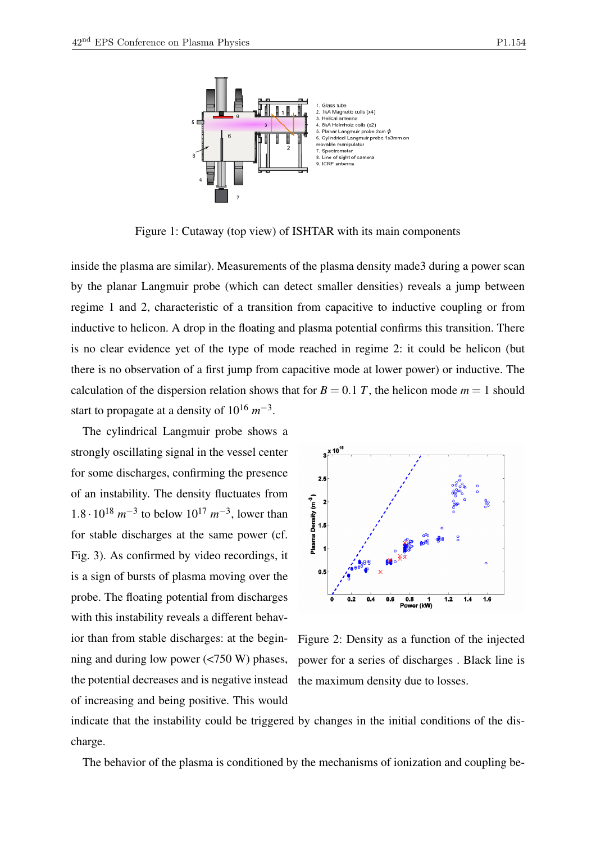

Figure 1: Cutaway (top view) of ISHTAR with its main components

inside the plasma are similar). Measurements of the plasma density made3 during a power scan by the planar Langmuir probe (which can detect smaller densities) reveals a jump between regime 1 and 2, characteristic of a transition from capacitive to inductive coupling or from inductive to helicon. A drop in the floating and plasma potential confirms this transition. There is no clear evidence yet of the type of mode reached in regime 2: it could be helicon (but there is no observation of a first jump from capacitive mode at lower power) or inductive. The calculation of the dispersion relation shows that for  $B = 0.1$  *T*, the helicon mode  $m = 1$  should start to propagate at a density of  $10^{16}$   $m^{-3}$ .

The cylindrical Langmuir probe shows a strongly oscillating signal in the vessel center for some discharges, confirming the presence of an instability. The density fluctuates from 1.8 ⋅ 10<sup>18</sup>  $m^{-3}$  to below 10<sup>17</sup>  $m^{-3}$ , lower than for stable discharges at the same power (cf. Fig. 3). As confirmed by video recordings, it is a sign of bursts of plasma moving over the probe. The floating potential from discharges with this instability reveals a different behavior than from stable discharges: at the beginning and during low power (<750 W) phases, the potential decreases and is negative instead of increasing and being positive. This would



Figure 2: Density as a function of the injected power for a series of discharges . Black line is the maximum density due to losses.

indicate that the instability could be triggered by changes in the initial conditions of the discharge.

The behavior of the plasma is conditioned by the mechanisms of ionization and coupling be-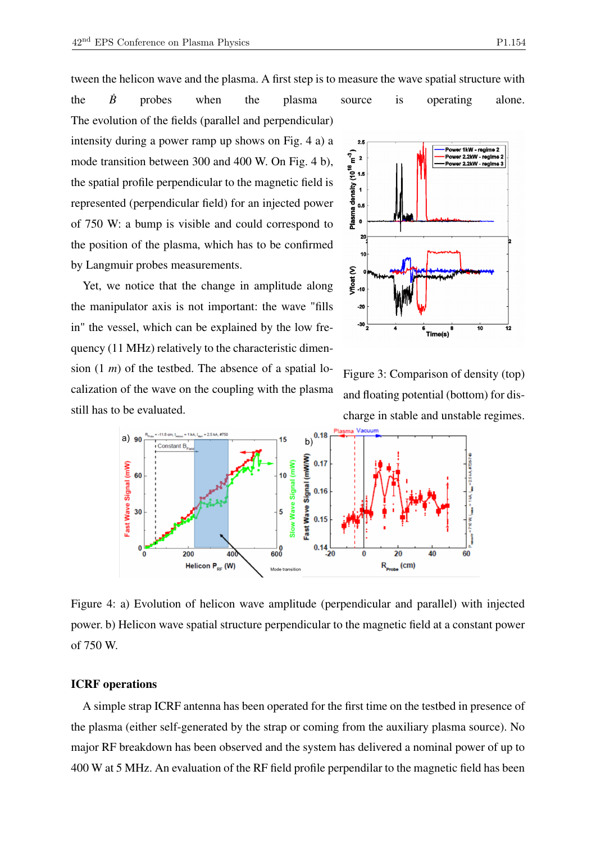tween the helicon wave and the plasma. A first step is to measure the wave spatial structure with

the  $\dot{B}$  probes when the plasma source is operating alone. The evolution of the fields (parallel and perpendicular) intensity during a power ramp up shows on Fig. 4 a) a mode transition between 300 and 400 W. On Fig. 4 b), the spatial profile perpendicular to the magnetic field is represented (perpendicular field) for an injected power of 750 W: a bump is visible and could correspond to the position of the plasma, which has to be confirmed by Langmuir probes measurements.

Yet, we notice that the change in amplitude along the manipulator axis is not important: the wave "fills in" the vessel, which can be explained by the low frequency (11 MHz) relatively to the characteristic dimension (1 *m*) of the testbed. The absence of a spatial localization of the wave on the coupling with the plasma still has to be evaluated.



Figure 3: Comparison of density (top) and floating potential (bottom) for discharge in stable and unstable regimes.



Figure 4: a) Evolution of helicon wave amplitude (perpendicular and parallel) with injected power. b) Helicon wave spatial structure perpendicular to the magnetic field at a constant power of 750 W.

#### ICRF operations

A simple strap ICRF antenna has been operated for the first time on the testbed in presence of the plasma (either self-generated by the strap or coming from the auxiliary plasma source). No major RF breakdown has been observed and the system has delivered a nominal power of up to 400 W at 5 MHz. An evaluation of the RF field profile perpendilar to the magnetic field has been